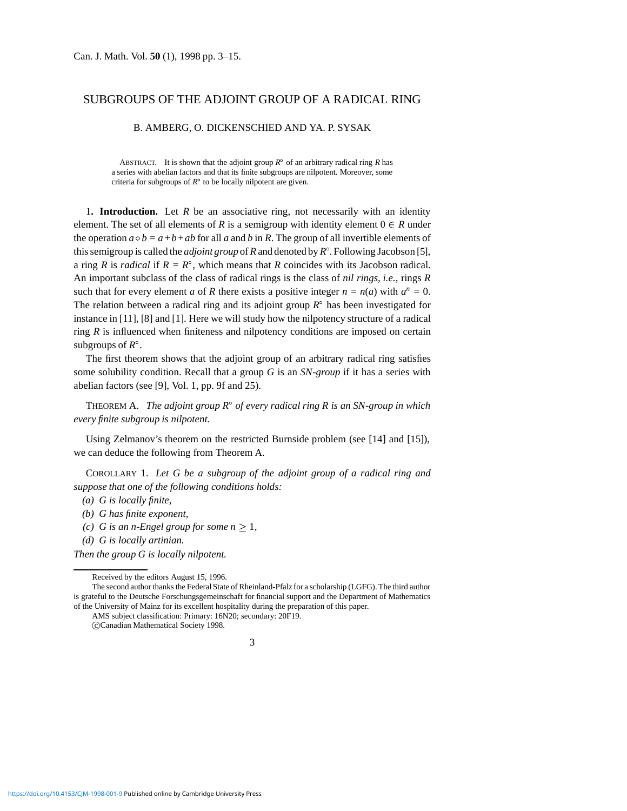## SUBGROUPS OF THE ADJOINT GROUP OF A RADICAL RING

## B. AMBERG, O. DICKENSCHIED AND YA. P. SYSAK

ABSTRACT. It is shown that the adjoint group  $R^{\circ}$  of an arbitrary radical ring *R* has a series with abelian factors and that its finite subgroups are nilpotent. Moreover, some criteria for subgroups of  $R^{\circ}$  to be locally nilpotent are given.

1**. Introduction.** Let *R* be an associative ring, not necessarily with an identity element. The set of all elements of *R* is a semigroup with identity element  $0 \in R$  under the operation  $a \circ b = a + b + ab$  for all *a* and *b* in *R*. The group of all invertible elements of this semigroup is called the *adjoint group* of *R* and denoted by *R* . Following Jacobson [5], a ring *R* is *radical* if  $R = R^{\circ}$ , which means that *R* coincides with its Jacobson radical. An important subclass of the class of radical rings is the class of *nil rings*, *i.e.*, rings *R* such that for every element *a* of *R* there exists a positive integer  $n = n(a)$  with  $a^n = 0$ . The relation between a radical ring and its adjoint group  $R^{\circ}$  has been investigated for instance in [11], [8] and [1]. Here we will study how the nilpotency structure of a radical ring *R* is influenced when finiteness and nilpotency conditions are imposed on certain subgroups of  $R^\circ$ .

The first theorem shows that the adjoint group of an arbitrary radical ring satisfies some solubility condition. Recall that a group *G* is an *SN*-*group* if it has a series with abelian factors (see [9], Vol. 1, pp. 9f and 25).

THEOREM A. *The adjoint group*  $R^{\circ}$  *of every radical ring R is an SN-group in which every finite subgroup is nilpotent.*

Using Zelmanov's theorem on the restricted Burnside problem (see [14] and [15]), we can deduce the following from Theorem A.

COROLLARY 1. *Let G be a subgroup of the adjoint group of a radical ring and suppose that one of the following conditions holds:*

- *(a) G is locally finite,*
- *(b) G has finite exponent,*
- *(c) G* is an *n*-Engel group for some  $n \geq 1$ ,
- *(d) G is locally artinian.*

*Then the group G is locally nilpotent.*

AMS subject classification: Primary: 16N20; secondary: 20F19. c Canadian Mathematical Society 1998.

Received by the editors August 15, 1996.

The second author thanks the Federal State of Rheinland-Pfalz for a scholarship (LGFG). The third author is grateful to the Deutsche Forschungsgemeinschaft for financial support and the Department of Mathematics of the University of Mainz for its excellent hospitality during the preparation of this paper.

<sup>3</sup>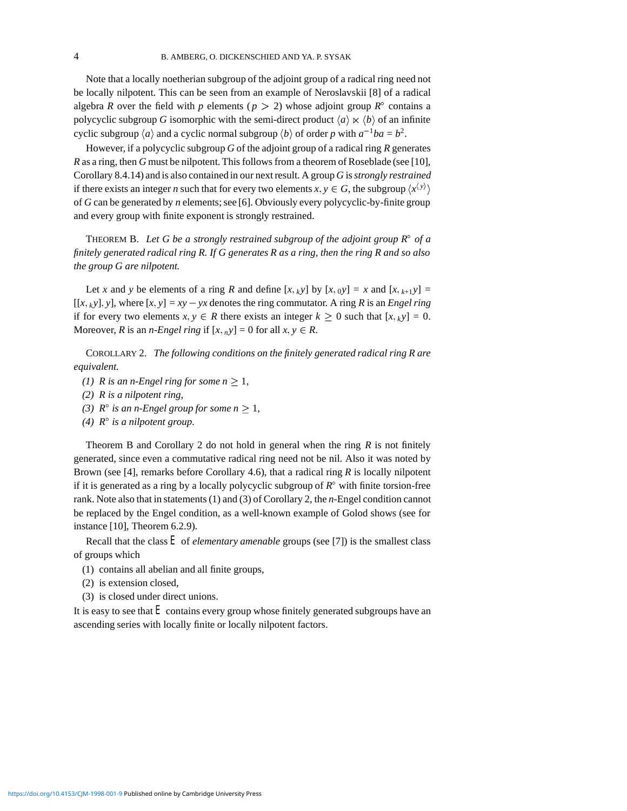Note that a locally noetherian subgroup of the adjoint group of a radical ring need not be locally nilpotent. This can be seen from an example of Neroslavskii [8] of a radical algebra *R* over the field with *p* elements ( $p > 2$ ) whose adjoint group  $R^{\circ}$  contains a polycyclic subgroup *G* isomorphic with the semi-direct product  $\langle a \rangle \ltimes \langle b \rangle$  of an infinite cyclic subgroup  $\langle a \rangle$  and a cyclic normal subgroup  $\langle b \rangle$  of order *p* with  $a^{-1}ba = b^2$ .

However, if a polycyclic subgroup *G* of the adjoint group of a radical ring *R* generates *R* as a ring, then *G* must be nilpotent. This follows from a theorem of Roseblade (see [10], Corollary 8.4.14) and is also contained in our next result. A group *G* is*strongly restrained* if there exists an integer *n* such that for every two elements  $x, y \in G$ , the subgroup  $\langle x^{\langle y \rangle} \rangle$ of *G* can be generated by *n* elements; see [6]. Obviously every polycyclic-by-finite group and every group with finite exponent is strongly restrained.

THEOREM B. Let G be a strongly restrained subgroup of the adjoint group  $R^{\circ}$  of a *finitely generated radical ring R. If G generates R as a ring, then the ring R and so also the group G are nilpotent.*

Let *x* and *y* be elements of a ring *R* and define  $[x, k y]$  by  $[x, 0 y] = x$  and  $[x, k+1 y] =$  $[[x, \, ky], y]$ , where  $[x, y] = xy - yx$  denotes the ring commutator. A ring *R* is an *Engel ring* if for every two elements  $x, y \in R$  there exists an integer  $k \ge 0$  such that  $[x, \chi y] = 0$ . Moreover, *R* is an *n*-*Engel ring* if  $[x, _n y] = 0$  for all  $x, y \in R$ .

COROLLARY 2. *The following conditions on the finitely generated radical ring R are equivalent.*

- *(1) R* is an *n*-Engel ring for some  $n \geq 1$ ,
- *(2) R is a nilpotent ring,*
- *(3)*  $R^{\circ}$  *is an n-Engel group for some n*  $\geq$  1*,*
- *(4)*  $R^{\circ}$  *is a nilpotent group.*

Theorem B and Corollary 2 do not hold in general when the ring *R* is not finitely generated, since even a commutative radical ring need not be nil. Also it was noted by Brown (see [4], remarks before Corollary 4.6), that a radical ring *R* is locally nilpotent if it is generated as a ring by a locally polycyclic subgroup of  $R^{\circ}$  with finite torsion-free rank. Note also that in statements (1) and (3) of Corollary 2, the *n*-Engel condition cannot be replaced by the Engel condition, as a well-known example of Golod shows (see for instance [10], Theorem 6.2.9).

Recall that the class  $E$  of *elementary amenable* groups (see [7]) is the smallest class of groups which

- (1) contains all abelian and all finite groups,
- (2) is extension closed,
- (3) is closed under direct unions.

It is easy to see that *E* contains every group whose finitely generated subgroups have an ascending series with locally finite or locally nilpotent factors.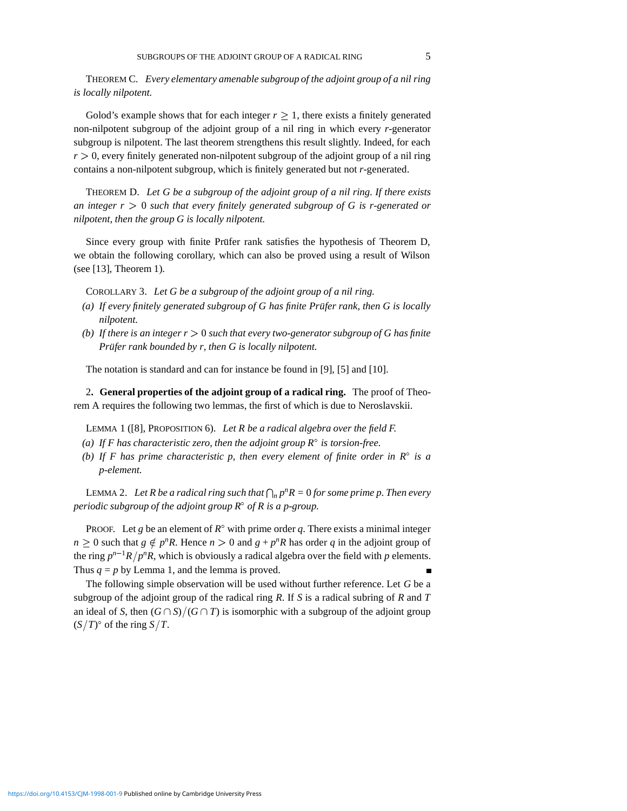THEOREM C. *Every elementary amenable subgroup of the adjoint group of a nil ring is locally nilpotent.*

Golod's example shows that for each integer  $r \geq 1$ , there exists a finitely generated non-nilpotent subgroup of the adjoint group of a nil ring in which every *r*-generator subgroup is nilpotent. The last theorem strengthens this result slightly. Indeed, for each  $r > 0$ , every finitely generated non-nilpotent subgroup of the adjoint group of a nil ring contains a non-nilpotent subgroup, which is finitely generated but not *r*-generated.

THEOREM D. *Let G be a subgroup of the adjoint group of a nil ring. If there exists an integer*  $r > 0$  *such that every finitely generated subgroup of G is r-generated or nilpotent, then the group G is locally nilpotent.*

Since every group with finite Prüfer rank satisfies the hypothesis of Theorem D, we obtain the following corollary, which can also be proved using a result of Wilson (see [13], Theorem 1).

COROLLARY 3. *Let G be a subgroup of the adjoint group of a nil ring.*

- (a) If every finitely generated subgroup of G has finite Prüfer rank, then G is locally *nilpotent.*
- *(b)* If there is an integer  $r > 0$  such that every two-generator subgroup of G has finite *Prüfer rank bounded by r, then G is locally nilpotent.*

The notation is standard and can for instance be found in [9], [5] and [10].

2**. General properties of the adjoint group of a radical ring.** The proof of Theorem A requires the following two lemmas, the first of which is due to Neroslavskii.

LEMMA 1 ([8], PROPOSITION 6). *Let R be a radical algebra over the field F.*

- *(a)* If F has characteristic zero, then the adjoint group  $R^{\circ}$  is torsion-free.
- *(b)* If F has prime characteristic p, then every element of finite order in  $\mathbb{R}^{\circ}$  is a *p-element.*

LEMMA 2. Let R be a radical ring such that  $\bigcap_n p^n R = 0$  for some prime p. Then every *periodic subgroup of the adjoint group R<sup>o</sup> of R is a p-group.* 

PROOF. Let *g* be an element of  $R^{\circ}$  with prime order *q*. There exists a minimal integer  $n > 0$  such that  $g \notin p^n R$ . Hence  $n > 0$  and  $g + p^n R$  has order *q* in the adjoint group of the ring  $p^{n-1}R/p^nR$ , which is obviously a radical algebra over the field with *p* elements. Thus  $q = p$  by Lemma 1, and the lemma is proved.

The following simple observation will be used without further reference. Let *G* be a subgroup of the adjoint group of the radical ring *R*. If *S* is a radical subring of *R* and *T* an ideal of *S*, then  $(G \cap S)/(G \cap T)$  is isomorphic with a subgroup of the adjoint group  $(S/T)$ ° of the ring  $S/T$ .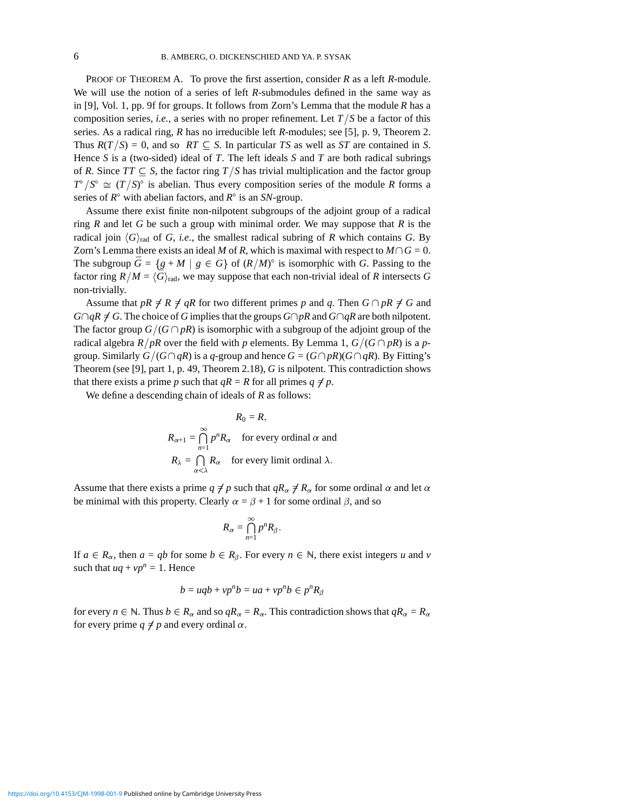PROOF OF THEOREM A. To prove the first assertion, consider *R* as a left *R*-module. We will use the notion of a series of left *R*-submodules defined in the same way as in [9], Vol. 1, pp. 9f for groups. It follows from Zorn's Lemma that the module *R* has a composition series, *i.e.*, a series with no proper refinement. Let  $T/S$  be a factor of this series. As a radical ring, *R* has no irreducible left *R*-modules; see [5], p. 9, Theorem 2. Thus  $R(T/S) = 0$ , and so  $RT \subseteq S$ . In particular *TS* as well as *ST* are contained in *S*. Hence *S* is a (two-sided) ideal of *T*. The left ideals *S* and *T* are both radical subrings of *R*. Since  $TT \subseteq S$ , the factor ring  $T/S$  has trivial multiplication and the factor group  $T^{\circ}/S^{\circ} \cong (T/S)^{\circ}$  is abelian. Thus every composition series of the module *R* forms a series of  $R^{\circ}$  with abelian factors, and  $R^{\circ}$  is an *SN*-group.

Assume there exist finite non-nilpotent subgroups of the adjoint group of a radical ring *R* and let *G* be such a group with minimal order. We may suppose that *R* is the radical join  $\langle G \rangle_{rad}$  of *G*, *i.e.*, the smallest radical subring of *R* which contains *G*. By Zorn's Lemma there exists an ideal *M* of *R*, which is maximal with respect to  $M \cap G = 0$ . The subgroup  $\bar{G} = \{g + M | g \in G\}$  of  $(R/M)^\circ$  is isomorphic with *G*. Passing to the factor ring  $R/M = \langle \bar{G} \rangle_{\text{rad}}$ , we may suppose that each non-trivial ideal of *R* intersects *G* non-trivially.

Assume that  $pR \neq R \neq qR$  for two different primes p and q. Then  $G \cap pR \neq G$  and  $G \cap qR \neq G$ . The choice of *G* implies that the groups  $G \cap pR$  and  $G \cap qR$  are both nilpotent. The factor group  $G/(G \cap pR)$  is isomorphic with a subgroup of the adjoint group of the radical algebra *R*/*pR* over the field with *p* elements. By Lemma 1,  $G/(G \cap pR)$  is a *p*group. Similarly  $G/(G \cap qR)$  is a *q*-group and hence  $G = (G \cap pR)(G \cap qR)$ . By Fitting's Theorem (see [9], part 1, p. 49, Theorem 2.18), *G* is nilpotent. This contradiction shows that there exists a prime *p* such that  $qR = R$  for all primes  $q \neq p$ .

We define a descending chain of ideals of *R* as follows:

$$
R_0 = R,
$$
  
\n
$$
R_{\alpha+1} = \bigcap_{n=1}^{\infty} p^n R_{\alpha}
$$
 for every ordinal  $\alpha$  and  
\n
$$
R_{\lambda} = \bigcap_{\alpha < \lambda} R_{\alpha}
$$
 for every limit ordinal  $\lambda$ .

Assume that there exists a prime  $q \neq p$  such that  $qR_\alpha \neq R_\alpha$  for some ordinal  $\alpha$  and let  $\alpha$ be minimal with this property. Clearly  $\alpha = \beta + 1$  for some ordinal  $\beta$ , and so

$$
R_{\alpha}=\bigcap_{n=1}^{\infty}p^nR_{\beta}.
$$

If  $a \in R_\alpha$ , then  $a = qb$  for some  $b \in R_\beta$ . For every  $n \in \mathbb{N}$ , there exist integers *u* and *v* such that  $uq + vp^n = 1$ . Hence

$$
b = uqb + vp^n b = ua + vp^n b \in p^n R_\beta
$$

for every  $n \in \mathbb{N}$ . Thus  $b \in R_\alpha$  and so  $qR_\alpha = R_\alpha$ . This contradiction shows that  $qR_\alpha = R_\alpha$ for every prime  $q \neq p$  and every ordinal  $\alpha$ .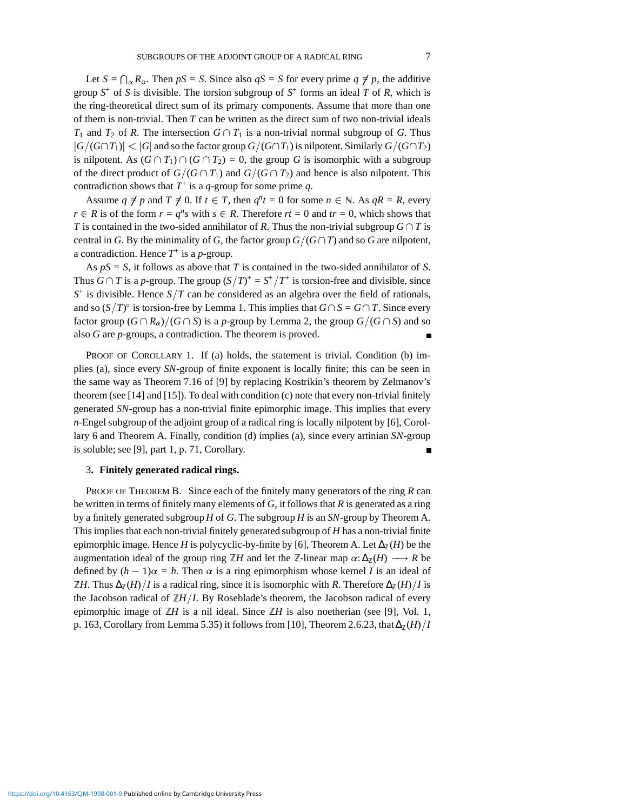Let  $S = \bigcap_{\alpha} R_{\alpha}$ . Then  $pS = S$ . Since also  $qS = S$  for every prime  $q \neq p$ , the additive group  $S^+$  of *S* is divisible. The torsion subgroup of  $S^+$  forms an ideal *T* of *R*, which is the ring-theoretical direct sum of its primary components. Assume that more than one of them is non-trivial. Then *T* can be written as the direct sum of two non-trivial ideals *T*<sub>1</sub> and *T*<sub>2</sub> of *R*. The intersection  $G \cap T_1$  is a non-trivial normal subgroup of *G*. Thus  $|G/(G \cap T_1)| < |G|$  and so the factor group  $G/(G \cap T_1)$  is nilpotent. Similarly  $G/(G \cap T_2)$ is nilpotent. As  $(G \cap T_1) \cap (G \cap T_2) = 0$ , the group *G* is isomorphic with a subgroup of the direct product of  $G/(G \cap T_1)$  and  $G/(G \cap T_2)$  and hence is also nilpotent. This contradiction shows that  $T^+$  is a *q*-group for some prime *q*.

Assume  $q \neq p$  and  $T \neq 0$ . If  $t \in T$ , then  $q^n t = 0$  for some  $n \in \mathbb{N}$ . As  $qR = R$ , every  $r \in R$  is of the form  $r = q^n s$  with  $s \in R$ . Therefore  $rt = 0$  and  $tr = 0$ , which shows that *T* is contained in the two-sided annihilator of *R*. Thus the non-trivial subgroup  $G \cap T$  is central in *G*. By the minimality of *G*, the factor group  $G/(G \cap T)$  and so *G* are nilpotent, a contradiction. Hence *T*<sup>+</sup> is a *p*-group.

As *pS* = *S*, it follows as above that *T* is contained in the two-sided annihilator of *S*. Thus  $G \cap T$  is a *p*-group. The group  $(S/T)^{+} = S^{+}/T^{+}$  is torsion-free and divisible, since  $S^+$  is divisible. Hence  $S/T$  can be considered as an algebra over the field of rationals, and so  $(S/T)^\circ$  is torsion-free by Lemma 1. This implies that  $G \cap S = G \cap T$ . Since every factor group  $(G \cap R_{\alpha})/(G \cap S)$  is a *p*-group by Lemma 2, the group  $G/(G \cap S)$  and so also *G* are *p*-groups, a contradiction. The theorem is proved.

PROOF OF COROLLARY 1. If (a) holds, the statement is trivial. Condition (b) implies (a), since every *SN*-group of finite exponent is locally finite; this can be seen in the same way as Theorem 7.16 of [9] by replacing Kostrikin's theorem by Zelmanov's theorem (see [14] and [15]). To deal with condition (c) note that every non-trivial finitely generated *SN*-group has a non-trivial finite epimorphic image. This implies that every *n*-Engel subgroup of the adjoint group of a radical ring is locally nilpotent by [6], Corollary 6 and Theorem A. Finally, condition (d) implies (a), since every artinian *SN*-group is soluble; see [9], part 1, p. 71, Corollary.  $\blacksquare$ 

## 3**. Finitely generated radical rings.**

PROOF OF THEOREM B. Since each of the finitely many generators of the ring *R* can be written in terms of finitely many elements of *G*, it follows that *R* is generated as a ring by a finitely generated subgroup *H* of *G*. The subgroup *H* is an *SN*-group by Theorem A. This implies that each non-trivial finitely generated subgroup of *H* has a non-trivial finite epimorphic image. Hence *H* is polycyclic-by-finite by [6], Theorem A. Let  $\Delta_{\mathbb{Z}}(H)$  be the augmentation ideal of the group ring  $\mathbb{Z}H$  and let the Z-linear map  $\alpha: \Delta_{\mathbb{Z}}(H) \longrightarrow R$  be defined by  $(h - 1)\alpha = h$ . Then  $\alpha$  is a ring epimorphism whose kernel *I* is an ideal of  $\mathbb{Z}$ *H*. Thus  $\Delta_{\mathbb{Z}}(H)/I$  is a radical ring, since it is isomorphic with *R*. Therefore  $\Delta_{\mathbb{Z}}(H)/I$  is the Jacobson radical of  $\mathbb{Z}H/I$ . By Roseblade's theorem, the Jacobson radical of every epimorphic image of  $\mathbb{Z}H$  is a nil ideal. Since  $\mathbb{Z}H$  is also noetherian (see [9], Vol. 1, p. 163, Corollary from Lemma 5.35) it follows from [10], Theorem 2.6.23, that  $\Delta_{\mathbb{Z}}(H)/I$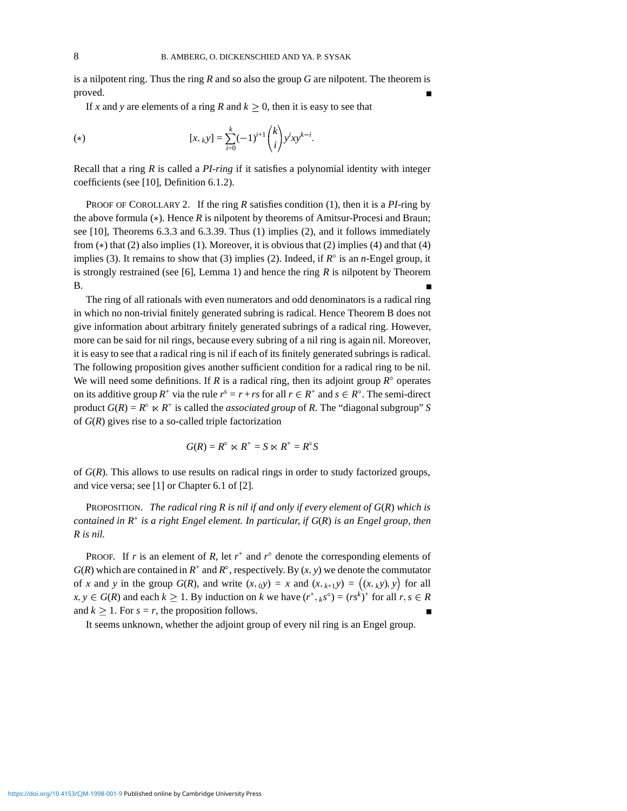is a nilpotent ring. Thus the ring *R* and so also the group *G* are nilpotent. The theorem is proved.

If *x* and *y* are elements of a ring *R* and  $k \geq 0$ , then it is easy to see that

(\*) 
$$
[x,_{k}y] = \sum_{i=0}^{k} (-1)^{i+1} {k \choose i} y^{i}xy^{k-i}.
$$

Recall that a ring *R* is called a *PI-ring* if it satisfies a polynomial identity with integer coefficients (see [10], Definition 6.1.2).

PROOF OF COROLLARY 2. If the ring *R* satisfies condition (1), then it is a *PI*-ring by the above formula  $(*)$ . Hence  $R$  is nilpotent by theorems of Amitsur-Procesi and Braun; see [10], Theorems 6.3.3 and 6.3.39. Thus (1) implies (2), and it follows immediately from  $(*)$  that (2) also implies (1). Moreover, it is obvious that (2) implies (4) and that (4) implies (3). It remains to show that (3) implies (2). Indeed, if  $R^{\circ}$  is an *n*-Engel group, it is strongly restrained (see [6], Lemma 1) and hence the ring *R* is nilpotent by Theorem B.

The ring of all rationals with even numerators and odd denominators is a radical ring in which no non-trivial finitely generated subring is radical. Hence Theorem B does not give information about arbitrary finitely generated subrings of a radical ring. However, more can be said for nil rings, because every subring of a nil ring is again nil. Moreover, it is easy to see that a radical ring is nil if each of its finitely generated subrings is radical. The following proposition gives another sufficient condition for a radical ring to be nil. We will need some definitions. If *R* is a radical ring, then its adjoint group  $R^{\circ}$  operates on its additive group  $R^+$  via the rule  $r^s = r + rs$  for all  $r \in R^+$  and  $s \in R^\circ$ . The semi-direct product  $G(R) = R^{\circ} \ltimes R^+$  is called the *associated group* of *R*. The "diagonal subgroup" *S* of *G*(*R*) gives rise to a so-called triple factorization

$$
G(R) = R^{\circ} \ltimes R^+ = S \ltimes R^+ = R^{\circ}S
$$

of *G*(*R*). This allows to use results on radical rings in order to study factorized groups, and vice versa; see [1] or Chapter 6.1 of [2].

PROPOSITION. *The radical ring R is nil if and only if every element of G*(*R*) *which is contained in R*<sup>+</sup> *is a right Engel element. In particular, if G*(*R*) *is an Engel group, then R is nil.*

**PROOF.** If r is an element of R, let  $r^+$  and  $r^{\circ}$  denote the corresponding elements of  $G(R)$  which are contained in  $R^+$  and  $R^{\circ}$ , respectively. By  $(x, y)$  we denote the commutator of *x* and *y* in the group  $G(R)$ , and write  $(x, y) = x$  and  $(x, k+1)y = (x, k)y$ ,  $y$  for all  $x, y \in G(R)$  and each  $k \ge 1$ . By induction on *k* we have  $(r^+, k^s) = (rs^k)^+$  for all  $r, s \in R$ and  $k \ge 1$ . For  $s = r$ , the proposition follows.

It seems unknown, whether the adjoint group of every nil ring is an Engel group.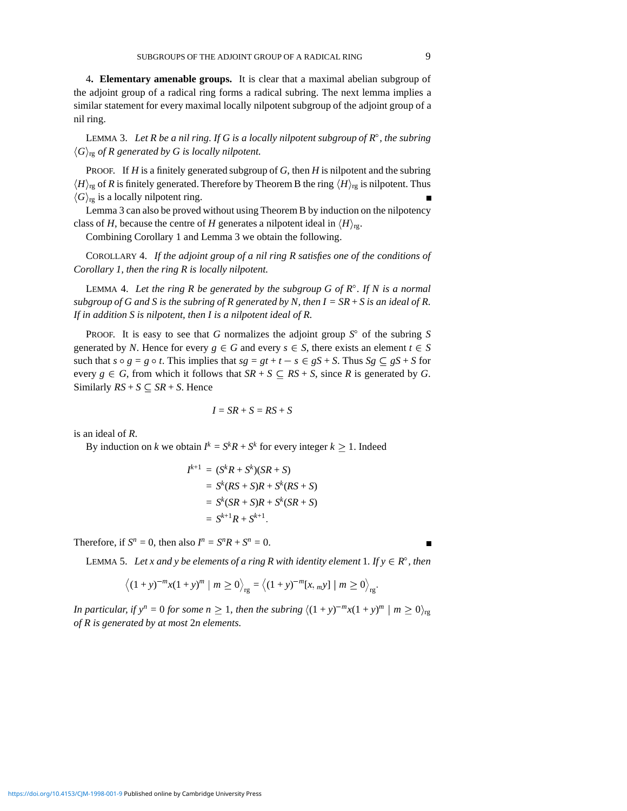4**. Elementary amenable groups.** It is clear that a maximal abelian subgroup of the adjoint group of a radical ring forms a radical subring. The next lemma implies a similar statement for every maximal locally nilpotent subgroup of the adjoint group of a nil ring.

LEMMA 3. Let R be a nil ring. If G is a locally nilpotent subgroup of  $R^{\circ}$ , the subring  $\langle G \rangle_{\text{rg}}$  *of R generated by G is locally nilpotent.* 

PROOF. If *H* is a finitely generated subgroup of *G*, then *H* is nilpotent and the subring  $\langle H \rangle$ <sub>rg</sub> of *R* is finitely generated. Therefore by Theorem B the ring  $\langle H \rangle$ <sub>rg</sub> is nilpotent. Thus  $\langle G \rangle_{\text{rg}}$  is a locally nilpotent ring.

Lemma 3 can also be proved without using Theorem B by induction on the nilpotency class of *H*, because the centre of *H* generates a nilpotent ideal in  $\langle H \rangle_{\text{re}}$ .

Combining Corollary 1 and Lemma 3 we obtain the following.

COROLLARY 4. *If the adjoint group of a nil ring R satisfies one of the conditions of Corollary 1, then the ring R is locally nilpotent.*

LEMMA 4. Let the ring R be generated by the subgroup G of  $R^\circ$ . If N is a normal *subgroup of G and S is the subring of R generated by N, then*  $I = SR + S$  *is an ideal of R. If in addition S is nilpotent, then I is a nilpotent ideal of R.*

PROOF. It is easy to see that *G* normalizes the adjoint group  $S^{\circ}$  of the subring *S* generated by *N*. Hence for every  $g \in G$  and every  $s \in S$ , there exists an element  $t \in S$ such that  $s \circ g = g \circ t$ . This implies that  $sg = gt + t - s \in gS + S$ . Thus  $Sg \subseteq gS + S$  for every  $g \in G$ , from which it follows that  $SR + S \subseteq RS + S$ , since R is generated by G. Similarly  $RS + S \subseteq SR + S$ . Hence

$$
I = SR + S = RS + S
$$

is an ideal of *R*.

By induction on *k* we obtain  $I^k = S^k R + S^k$  for every integer  $k \ge 1$ . Indeed

$$
I^{k+1} = (S^k R + S^k)(SR + S)
$$
  
=  $S^k(RS + S)R + S^k(RS + S)$   
=  $S^k(SR + S)R + S^k(SR + S)$   
=  $S^{k+1}R + S^{k+1}$ .

Therefore, if  $S^n = 0$ , then also  $I^n = S^n R + S^n = 0$ .

LEMMA 5. Let x and y be elements of a ring R with identity element 1. If  $y \in R^{\circ}$ , then

$$
\left\langle (1+y)^{-m}x(1+y)^m \mid m \ge 0 \right\rangle_{\text{rg}} = \left\langle (1+y)^{-m}[x,_{-m}y] \mid m \ge 0 \right\rangle_{\text{rg}}.
$$

*In particular, if*  $y^n = 0$  *for some*  $n \ge 1$ *, then the subring*  $\langle (1 + y)^{-m}x(1 + y)^m | m \ge 0 \rangle_{\text{rg}}$ *of R is generated by at most* 2*n elements.*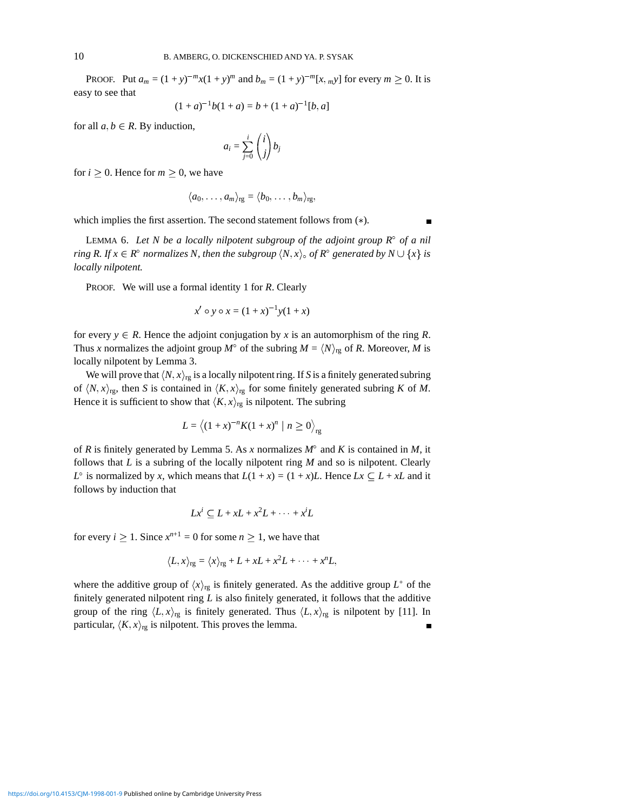**PROOF.** Put  $a_m = (1 + y)^{-m}x(1 + y)^m$  and  $b_m = (1 + y)^{-m}[x, m y]$  for every  $m \ge 0$ . It is easy to see that

$$
(1 + a)^{-1}b(1 + a) = b + (1 + a)^{-1}[b, a]
$$

for all  $a, b \in R$ . By induction,

$$
a_i = \sum_{j=0}^i \binom{i}{j} b_j
$$

for  $i \geq 0$ . Hence for  $m \geq 0$ , we have

$$
\langle a_0,\ldots,a_m\rangle_{\rm rg}=\langle b_0,\ldots,b_m\rangle_{\rm rg},
$$

which implies the first assertion. The second statement follows from  $(*)$ .

LEMMA 6. Let N be a locally nilpotent subgroup of the adjoint group  $R^{\circ}$  of a nil *ring R. If*  $x \in R^{\circ}$  *normalizes N, then the subgroup*  $\langle N, x \rangle_{\circ}$  *of*  $R^{\circ}$  *generated by*  $N \cup \{x\}$  *is locally nilpotent.*

PROOF. We will use a formal identity 1 for *R*. Clearly

$$
x' \circ y \circ x = (1+x)^{-1}y(1+x)
$$

for every  $y \in R$ . Hence the adjoint conjugation by x is an automorphism of the ring R. Thus *x* normalizes the adjoint group  $M^{\circ}$  of the subring  $M = \langle N \rangle_{\text{rg}}$  of *R*. Moreover, *M* is locally nilpotent by Lemma 3.

We will prove that  $\langle N, x \rangle_{\text{rg}}$  is a locally nilpotent ring. If *S* is a finitely generated subring of  $\langle N, x \rangle_{\text{rg}}$ , then *S* is contained in  $\langle K, x \rangle_{\text{rg}}$  for some finitely generated subring *K* of *M*. Hence it is sufficient to show that  $\langle K, x \rangle_{\text{rg}}$  is nilpotent. The subring

$$
L = \langle (1+x)^{-n} K(1+x)^n \mid n \ge 0 \rangle_{\text{rg}}
$$

of *R* is finitely generated by Lemma 5. As *x* normalizes  $M^{\circ}$  and *K* is contained in *M*, it follows that *L* is a subring of the locally nilpotent ring *M* and so is nilpotent. Clearly  $L^{\circ}$  is normalized by *x*, which means that  $L(1 + x) = (1 + x)L$ . Hence  $Lx \subseteq L + xL$  and it follows by induction that

$$
Lx^i \subseteq L + xL + x^2L + \dots + x^iL
$$

for every  $i \ge 1$ . Since  $x^{n+1} = 0$  for some  $n \ge 1$ , we have that

$$
\langle L, x \rangle_{\text{rg}} = \langle x \rangle_{\text{rg}} + L + xL + x^2L + \cdots + x^nL,
$$

where the additive group of  $\langle x \rangle_{\text{rg}}$  is finitely generated. As the additive group  $L^+$  of the finitely generated nilpotent ring *L* is also finitely generated, it follows that the additive group of the ring  $\langle L, x \rangle_{\text{rg}}$  is finitely generated. Thus  $\langle L, x \rangle_{\text{rg}}$  is nilpotent by [11]. In particular,  $\langle K, x \rangle_{\text{rg}}$  is nilpotent. This proves the lemma.  $\blacksquare$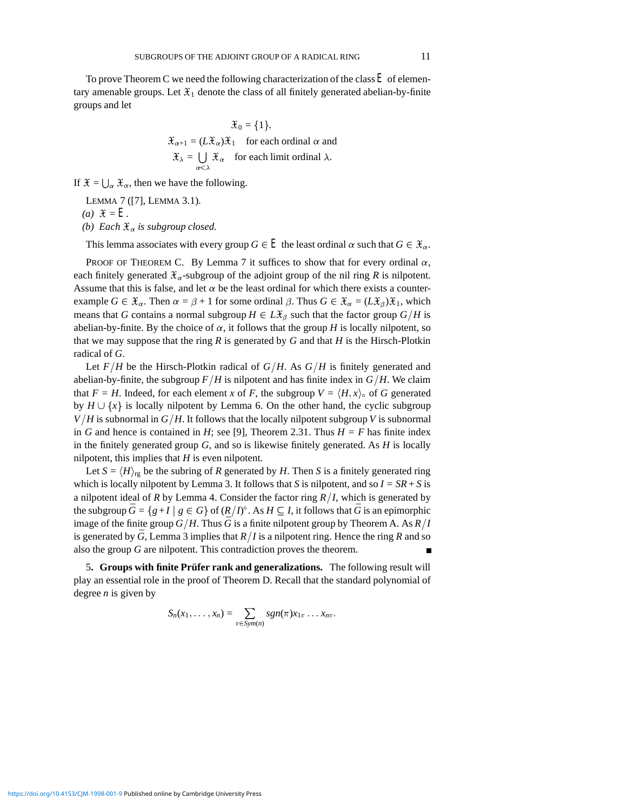To prove Theorem C we need the following characterization of the class*E* of elementary amenable groups. Let  $\mathfrak{X}_1$  denote the class of all finitely generated abelian-by-finite groups and let

$$
\mathcal{X}_0 = \{1\},
$$
  
\n
$$
\mathcal{X}_{\alpha+1} = (L\mathcal{X}_{\alpha})\mathcal{X}_1 \text{ for each ordinal } \alpha \text{ and}
$$
  
\n
$$
\mathcal{X}_{\lambda} = \bigcup_{\alpha < \lambda} \mathcal{X}_{\alpha} \text{ for each limit ordinal } \lambda.
$$

If  $\mathfrak{X} = \bigcup_{\alpha} \mathfrak{X}_{\alpha}$ , then we have the following.

LEMMA 7 ([7], LEMMA 3.1).

 $(a)$   $\mathfrak{X} = E$ .

*(b)* Each  $\mathfrak{X}_{\alpha}$  *is subgroup closed.* 

This lemma associates with every group  $G \in E$  the least ordinal  $\alpha$  such that  $G \in \mathfrak{X}_{\alpha}$ .

PROOF OF THEOREM C. By Lemma 7 it suffices to show that for every ordinal  $\alpha$ , each finitely generated  $\mathcal{X}_{\alpha}$ -subgroup of the adjoint group of the nil ring *R* is nilpotent. Assume that this is false, and let  $\alpha$  be the least ordinal for which there exists a counterexample  $G \in \mathcal{X}_{\alpha}$ . Then  $\alpha = \beta + 1$  for some ordinal  $\beta$ . Thus  $G \in \mathcal{X}_{\alpha} = (L\mathcal{X}_{\beta})\mathcal{X}_1$ , which means that *G* contains a normal subgroup  $H \in L\mathcal{X}_{\beta}$  such that the factor group  $G/H$  is abelian-by-finite. By the choice of  $\alpha$ , it follows that the group *H* is locally nilpotent, so that we may suppose that the ring  $R$  is generated by  $G$  and that  $H$  is the Hirsch-Plotkin radical of *G*.

Let  $F/H$  be the Hirsch-Plotkin radical of  $G/H$ . As  $G/H$  is finitely generated and abelian-by-finite, the subgroup  $F/H$  is nilpotent and has finite index in  $G/H$ . We claim that  $F = H$ . Indeed, for each element *x* of *F*, the subgroup  $V = \langle H, x \rangle$  of *G* generated by  $H \cup \{x\}$  is locally nilpotent by Lemma 6. On the other hand, the cyclic subgroup  $V/H$  is subnormal in  $G/H$ . It follows that the locally nilpotent subgroup *V* is subnormal in *G* and hence is contained in *H*; see [9], Theorem 2.31. Thus  $H = F$  has finite index in the finitely generated group *G*, and so is likewise finitely generated. As *H* is locally nilpotent, this implies that *H* is even nilpotent.

Let  $S = \langle H \rangle_{\text{rg}}$  be the subring of *R* generated by *H*. Then *S* is a finitely generated ring which is locally nilpotent by Lemma 3. It follows that *S* is nilpotent, and so  $I = SR + S$  is a nilpotent ideal of *R* by Lemma 4. Consider the factor ring  $R/I$ , which is generated by the subgroup  $\bar{G} = \{g + I \mid g \in G\}$  of  $(R/I)^\circ$ . As  $H \subseteq I$ , it follows that  $\bar{G}$  is an epimorphic image of the finite group  $G/H$ . Thus  $\bar{G}$  is a finite nilpotent group by Theorem A. As  $R/I$ is generated by  $\bar{G}$ , Lemma 3 implies that  $R/I$  is a nilpotent ring. Hence the ring  $R$  and so also the group *G* are nilpotent. This contradiction proves the theorem.

5**. Groups with finite Prufer rank and generalizations. ¨** The following result will play an essential role in the proof of Theorem D. Recall that the standard polynomial of degree *n* is given by

$$
S_n(x_1,\ldots,x_n)=\sum_{\pi\in Sym(n)}sgn(\pi)x_{1\pi}\ldots x_{n\pi}.
$$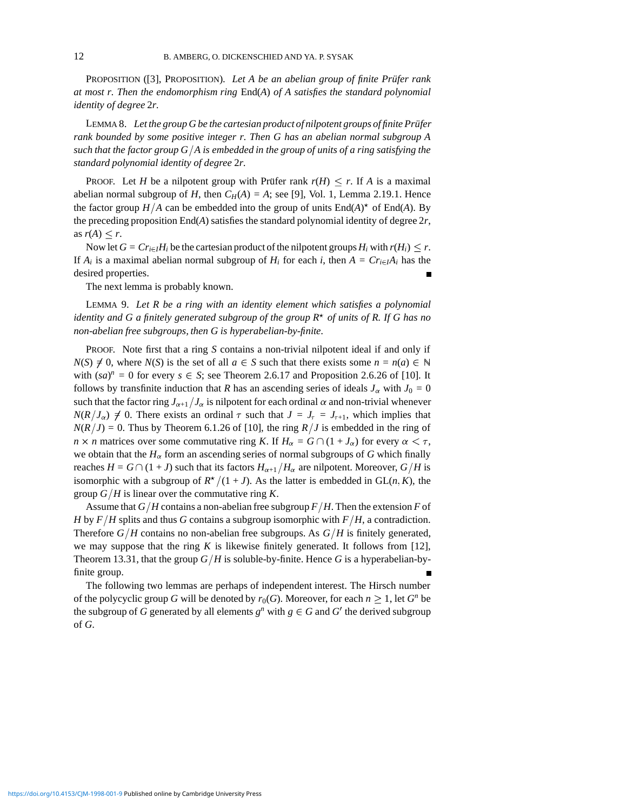PROPOSITION ([3], PROPOSITION). *Let A be an abelian group of finite Prüfer rank at most r. Then the endomorphism ring* End(*A*) *of A satisfies the standard polynomial identity of degree* 2*r.*

LEMMA 8. Let the group G be the cartesian product of nilpotent groups of finite Prüfer *rank bounded by some positive integer r. Then G has an abelian normal subgroup A such that the factor group*  $G/\overline{A}$  *is embedded in the group of units of a ring satisfying the standard polynomial identity of degree* 2*r.*

PROOF. Let *H* be a nilpotent group with Prüfer rank  $r(H) \leq r$ . If *A* is a maximal abelian normal subgroup of *H*, then  $C_H(A) = A$ ; see [9], Vol. 1, Lemma 2.19.1. Hence the factor group  $H/A$  can be embedded into the group of units  $\text{End}(A)^*$  of  $\text{End}(A)$ . By the preceding proposition  $\text{End}(A)$  satisfies the standard polynomial identity of degree  $2r$ , as  $r(A) \leq r$ .

Now let  $G = Cr_{i \in I}H_i$  be the cartesian product of the nilpotent groups  $H_i$  with  $r(H_i) \leq r$ . If  $A_i$  is a maximal abelian normal subgroup of  $H_i$  for each *i*, then  $A = Cr_{i \in I}A_i$  has the desired properties.

The next lemma is probably known.

LEMMA 9. *Let R be a ring with an identity element which satisfies a polynomial identity and G a finitely generated subgroup of the group R*<sup>æ</sup> *of units of R. If G has no non-abelian free subgroups, then G is hyperabelian-by-finite.*

PROOF. Note first that a ring *S* contains a non-trivial nilpotent ideal if and only if  $N(S) \neq 0$ , where  $N(S)$  is the set of all  $a \in S$  such that there exists some  $n = n(a) \in \mathbb{N}$ with  $(sa)^n = 0$  for every  $s \in S$ ; see Theorem 2.6.17 and Proposition 2.6.26 of [10]. It follows by transfinite induction that *R* has an ascending series of ideals  $J_\alpha$  with  $J_0 = 0$ such that the factor ring  $J_{\alpha+1}/J_{\alpha}$  is nilpotent for each ordinal  $\alpha$  and non-trivial whenever  $N(R/J_{\alpha}) \neq 0$ . There exists an ordinal  $\tau$  such that  $J = J_{\tau} = J_{\tau+1}$ , which implies that  $N(R/J) = 0$ . Thus by Theorem 6.1.26 of [10], the ring  $R/J$  is embedded in the ring of *n*  $\times$  *n* matrices over some commutative ring *K*. If  $H_{\alpha} = G \cap (1 + J_{\alpha})$  for every  $\alpha < \tau$ , we obtain that the  $H_{\alpha}$  form an ascending series of normal subgroups of *G* which finally reaches  $H = G \cap (1 + J)$  such that its factors  $H_{\alpha+1}/H_{\alpha}$  are nilpotent. Moreover,  $G/H$  is isomorphic with a subgroup of  $R^*(1 + J)$ . As the latter is embedded in GL(*n*, *K*), the group  $G/H$  is linear over the commutative ring *K*.

Assume that  $G/H$  contains a non-abelian free subgroup  $F/H$ . Then the extension *F* of *H* by  $F/H$  splits and thus *G* contains a subgroup isomorphic with  $F/H$ , a contradiction. Therefore  $G/H$  contains no non-abelian free subgroups. As  $G/H$  is finitely generated, we may suppose that the ring *K* is likewise finitely generated. It follows from [12], Theorem 13.31, that the group  $G/H$  is soluble-by-finite. Hence G is a hyperabelian-byfinite group.

The following two lemmas are perhaps of independent interest. The Hirsch number of the polycyclic group *G* will be denoted by  $r_0(G)$ . Moreover, for each  $n \geq 1$ , let *Gn* be the subgroup of *G* generated by all elements  $g^n$  with  $g \in G$  and *G'* the derived subgroup of *G*.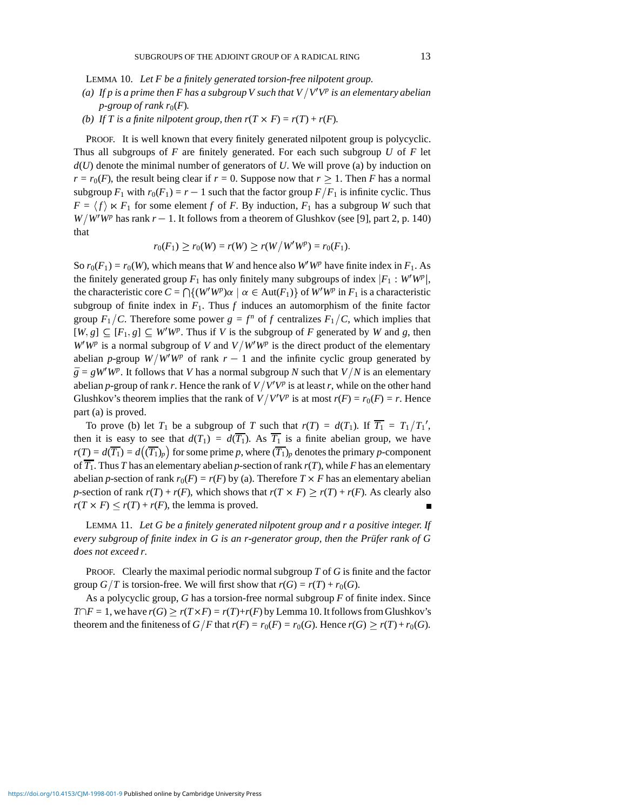LEMMA 10. *Let F be a finitely generated torsion-free nilpotent group.*

- (a) If  $p$  is a prime then F has a subgroup V such that  $V/V^{\prime}V^{p}$  is an elementary abelian *p*-group of rank  $r_0(F)$ .
- *(b)* If T is a finite nilpotent group, then  $r(T \times F) = r(T) + r(F)$ .

PROOF. It is well known that every finitely generated nilpotent group is polycyclic. Thus all subgroups of *F* are finitely generated. For each such subgroup *U* of *F* let *d*(*U*) denote the minimal number of generators of *U*. We will prove (a) by induction on  $r = r_0(F)$ , the result being clear if  $r = 0$ . Suppose now that  $r \ge 1$ . Then *F* has a normal subgroup  $F_1$  with  $r_0(F_1) = r - 1$  such that the factor group  $F/F_1$  is infinite cyclic. Thus  $F = \langle f \rangle \ltimes F_1$  for some element *f* of *F*. By induction,  $F_1$  has a subgroup *W* such that  $W/W'W^p$  has rank  $r-1$ . It follows from a theorem of Glushkov (see [9], part 2, p. 140) that

$$
r_0(F_1) \ge r_0(W) = r(W) \ge r(W/W'W^p) = r_0(F_1).
$$

So  $r_0(F_1) = r_0(W)$ , which means that *W* and hence also *W'WP* have finite index in  $F_1$ . As the finitely generated group  $F_1$  has only finitely many subgroups of index  $|F_1 : W'W^p|$ , the characteristic core  $C = \bigcap \{(W'W^p)\alpha \mid \alpha \in Aut(F_1)\}$  of  $W'W^p$  in  $F_1$  is a characteristic subgroup of finite index in  $F_1$ . Thus  $f$  induces an automorphism of the finite factor group  $F_1/C$ . Therefore some power  $g = f^n$  of f centralizes  $F_1/C$ , which implies that  $[W, g] \subseteq [F_1, g] \subseteq W'W^p$ . Thus if *V* is the subgroup of *F* generated by *W* and *g*, then  $W'W^p$  is a normal subgroup of *V* and  $V/W'W^p$  is the direct product of the elementary abelian *p*-group  $W/W'W^p$  of rank  $r-1$  and the infinite cyclic group generated by  $\bar{g} = gW'W^p$ . It follows that *V* has a normal subgroup *N* such that *V*/*N* is an elementary abelian *p*-group of rank *r*. Hence the rank of  $V/V'V^p$  is at least *r*, while on the other hand Glushkov's theorem implies that the rank of  $V/V'V^p$  is at most  $r(F) = r_0(F) = r$ . Hence part (a) is proved.

To prove (b) let  $T_1$  be a subgroup of *T* such that  $r(T) = d(T_1)$ . If  $\overline{T_1} = T_1/T_1'$ , then it is easy to see that  $d(T_1) = d(\overline{T_1})$ . As  $\overline{T_1}$  is a finite abelian group, we have  $r(T) = d(\overline{T_1}) = d((\overline{T_1})_p)$  for some prime *p*, where  $(\overline{T_1})_p$  denotes the primary *p*-component of  $\overline{T_1}$ . Thus *T* has an elementary abelian *p*-section of rank  $r(T)$ , while *F* has an elementary abelian *p*-section of rank  $r_0(F) = r(F)$  by (a). Therefore  $T \times F$  has an elementary abelian *p*-section of rank  $r(T) + r(F)$ , which shows that  $r(T \times F) \ge r(T) + r(F)$ . As clearly also  $r(T \times F) \le r(T) + r(F)$ , the lemma is proved.

LEMMA 11. *Let G be a finitely generated nilpotent group and r a positive integer. If every subgroup of finite index in G is an r-generator group, then the Prüfer rank of G does not exceed r.*

PROOF. Clearly the maximal periodic normal subgroup *T* of *G* is finite and the factor group *G* $/T$  is torsion-free. We will first show that  $r(G) = r(T) + r_0(G)$ .

As a polycyclic group, *G* has a torsion-free normal subgroup *F* of finite index. Since *T* $\cap$ *F* = 1, we have *r*(*G*)  $\geq$  *r*(*T* $\times$ *F*) = *r*(*T*)+*r*(*F*) by Lemma 10. It follows from Glushkov's theorem and the finiteness of  $G/F$  that  $r(F) = r_0(F) = r_0(G)$ . Hence  $r(G) \ge r(T) + r_0(G)$ .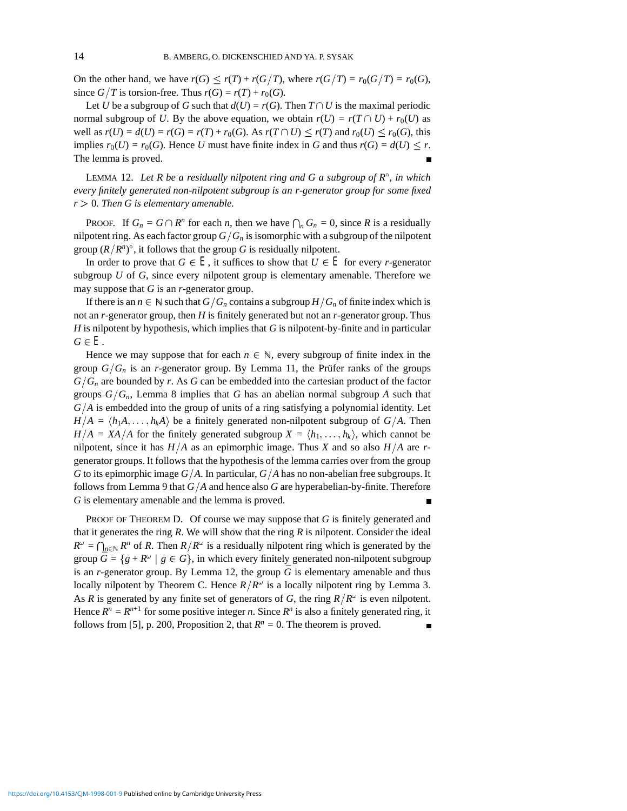On the other hand, we have  $r(G) \le r(T) + r(G/T)$ , where  $r(G/T) = r_0(G/T) = r_0(G)$ , since  $G/T$  is torsion-free. Thus  $r(G) = r(T) + r_0(G)$ .

Let *U* be a subgroup of *G* such that  $d(U) = r(G)$ . Then  $T \cap U$  is the maximal periodic normal subgroup of *U*. By the above equation, we obtain  $r(U) = r(T \cap U) + r_0(U)$  as well as  $r(U) = d(U) = r(G) = r(T) + r_0(G)$ . As  $r(T \cap U) \le r(T)$  and  $r_0(U) \le r_0(G)$ , this implies  $r_0(U) = r_0(G)$ . Hence *U* must have finite index in *G* and thus  $r(G) = d(U) \leq r$ . The lemma is proved.

LEMMA 12. *Let R be a residually nilpotent ring and G a subgroup of R, in which every finitely generated non-nilpotent subgroup is an r-generator group for some fixed*  $r > 0$ . Then G is elementary amenable.

PROOF. If  $G_n = G \cap R^n$  for each *n*, then we have  $\bigcap_n G_n = 0$ , since *R* is a residually nilpotent ring. As each factor group  $G/G_n$  is isomorphic with a subgroup of the nilpotent group  $(R/R^n)$ <sup>°</sup>, it follows that the group *G* is residually nilpotent.

In order to prove that  $G \in E$ , it suffices to show that  $U \in E$  for every *r*-generator subgroup *U* of *G*, since every nilpotent group is elementary amenable. Therefore we may suppose that *G* is an *r*-generator group.

If there is an  $n \in \mathbb{N}$  such that  $G/G_n$  contains a subgroup  $H/G_n$  of finite index which is not an *r*-generator group, then *H* is finitely generated but not an *r*-generator group. Thus *H* is nilpotent by hypothesis, which implies that *G* is nilpotent-by-finite and in particular  $G \in E$ .

Hence we may suppose that for each  $n \in \mathbb{N}$ , every subgroup of finite index in the group  $G/G_n$  is an *r*-generator group. By Lemma 11, the Prüfer ranks of the groups  $G/G_n$  are bounded by *r*. As *G* can be embedded into the cartesian product of the factor groups  $G/G_n$ , Lemma 8 implies that *G* has an abelian normal subgroup *A* such that  $G/A$  is embedded into the group of units of a ring satisfying a polynomial identity. Let  $H/A = \langle h_1A, \ldots, h_kA \rangle$  be a finitely generated non-nilpotent subgroup of  $G/A$ . Then  $H/A = XA/A$  for the finitely generated subgroup  $X = \langle h_1, \ldots, h_k \rangle$ , which cannot be nilpotent, since it has  $H/A$  as an epimorphic image. Thus *X* and so also  $H/A$  are *r*generator groups. It follows that the hypothesis of the lemma carries over from the group *G* to its epimorphic image  $G/A$ . In particular,  $G/A$  has no non-abelian free subgroups. It follows from Lemma 9 that  $G/\overline{A}$  and hence also  $G$  are hyperabelian-by-finite. Therefore *G* is elementary amenable and the lemma is proved.

PROOF OF THEOREM D. Of course we may suppose that *G* is finitely generated and that it generates the ring *R*. We will show that the ring *R* is nilpotent. Consider the ideal  $R^{\omega} = \bigcap_{n \in \mathbb{N}} R^n$  of *R*. Then  $R/R^{\omega}$  is a residually nilpotent ring which is generated by the group  $\bar{G} = \{g + R^{\omega} \mid g \in G\}$ , in which every finitely generated non-nilpotent subgroup is an  $r$ -generator group. By Lemma 12, the group  $G$  is elementary amenable and thus locally nilpotent by Theorem C. Hence  $R/R^{\omega}$  is a locally nilpotent ring by Lemma 3. As *R* is generated by any finite set of generators of *G*, the ring  $R/R^{\omega}$  is even nilpotent. Hence  $R^n = R^{n+1}$  for some positive integer *n*. Since  $R^n$  is also a finitely generated ring, it follows from [5], p. 200, Proposition 2, that  $R^n = 0$ . The theorem is proved.